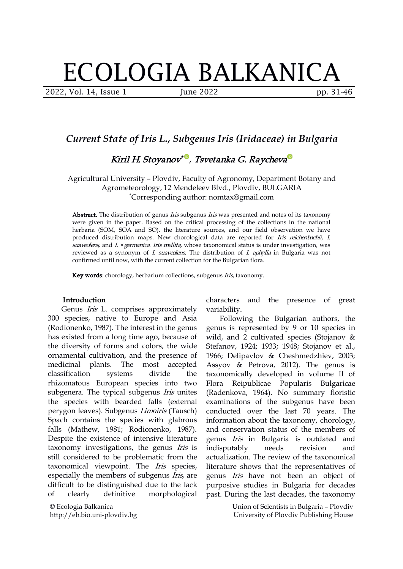# ECOLOGIA BALKANICA

2022, Vol. 14, Issue 1 June 2022 pp. 31-46

# *Current State of Iris L., Subgenus Iris (Iridaceae) in Bulgaria*

Kiril H. Stoy[a](https://orcid.org/0000-0002-9968-9017)nov\*'''', Tsvetanka G. Raycheva'''

Agricultural University – Plovdiv, Faculty of Agronomy, Department Botany and Agrometeorology, 12 Mendeleev Blvd., Plovdiv, BULGARIA \*Corresponding author: nomtax@gmail.com

Abstract. The distribution of genus *Iris* subgenus *Iris* was presented and notes of its taxonomy were given in the paper. Based on the critical processing of the collections in the national herbaria (SOM, SOA and SO), the literature sources, and our field observation we have produced distribution maps. New chorological data are reported for Iris reichenbachii, I. suaveolens, and  $I.$  × germanica. Iris mellita, whose taxonomical status is under investigation, was reviewed as a synonym of *I. suaveolens*. The distribution of *I. aphylla* in Bulgaria was not confirmed until now, with the current collection for the Bulgarian flora.

Key words: chorology, herbarium collections, subgenus *Iris*, taxonomy.

#### **Introduction**

Genus *Iris* L. comprises approximately 300 species, native to Europe and Asia (Rodionenko, 1987). The interest in the genus has existed from a long time ago, because of the diversity of forms and colors, the wide ornamental cultivation, and the presence of rhizomatous European species into two subgenera. The typical subgenus Iris unites the species with bearded falls (external perygon leaves). Subgenus Limniris (Tausch) Spach contains the species with glabrous falls (Mathew, 1981; Rodionenko, 1987). Despite the existence of intensive literature taxonomy investigations, the genus *Iris* is still considered to be problematic from the taxonomical viewpoint. The Iris species, especially the members of subgenus *Iris*, are difficult to be distinguished due to the lack of clearly definitive morphological

© Ecologia Balkanica http://eb.bio.uni-plovdiv.bg characters and the presence of great variability.

medicinal plants. The most accepted Assyov & Petrova,2012). The genus is classification systems divide the taxonomically developed in volume II of Following the Bulgarian authors, the genus is represented by 9 or 10 species in wild, and 2 cultivated species (Stojanov & Stefanov, 1924; 1933; 1948; Stojanov et al., 1966; Delipavlov & Cheshmedzhiev, 2003; Reipublicae Popularis Bulgaricae (Radenkova, 1964). No summary floristic examinations of the subgenus have been conducted over the last 70 years. The information about the taxonomy, chorology, and conservation status of the members of genus Iris in Bulgaria is outdated and indisputably needs revision and actualization. The review of the taxonomical literature shows that the representatives of genus Iris have not been an object of purposive studies in Bulgaria for decades past. During the last decades, the taxonomy

> Union of Scientists in Bulgaria – Plovdiv University of Plovdiv Publishing House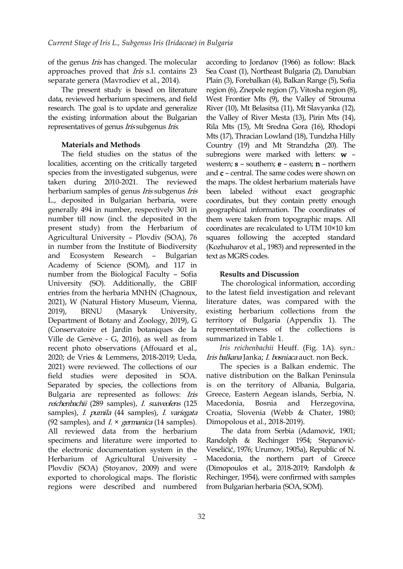of the genus Iris has changed. The molecular approaches proved that Iris s.l. contains 23 separate genera (Mavrodiev et al., 2014).

The present study is based on literature data, reviewed herbarium specimens, and field research. The goal is to update and generalize the existing information about the Bulgarian representatives of genus *Iris* subgenus *Iris*.

#### **Materials and Methods**

The field s[t](https://orcid.org/0000-0002-1329-4891)udies on the status of the localities, accenting on the critically targeted species from the investigated subgenus, were taken during 2010-2021. The reviewed herbarium samples of genus Iris subgenus Iris L., deposited in Bulgarian herbaria, were generally 494 in number, respectively 301 in number till now (incl. the deposited in the present study) from the Herbarium of Agricultural University – Plovdiv (SOA), 76 in number from the Institute of Biodiversity and Ecosystem Research – Bulgarian Academy of Science (SOM), and 117 in number from the Biological Faculty – Sofia University (SO). Additionally, the GBIF entries from the herbaria MNHN (Chagnoux, 2021), W (Natural History Museum, Vienna, 2019), BRNU (Masaryk University, Department of Botany and Zoology, 2019), G (Conservatoire et Jardin botaniques de la Ville de Genève - G, 2016), as well as from recent photo observations (Affouard et al., 2020; de Vries & Lemmens, 2018-2019; Ueda, 2021) were reviewed. The collections of our field studies were deposited in SOA. Separated by species, the collections from Bulgaria are represented as follows: Iris reichenbachii (289 samples), I. suaveolens (125 Macedonia, Bosnia samples), I. pumila (44 samples), I. variegata (92 samples), and  $I \times \text{ germanica}$  (14 samples). All reviewed data from the herbarium specimens and literature were imported to the electronic documentation system in the Herbarium of Agricultural University – Plovdiv (SOA) (Stoyanov, 2009) and were exported to chorological maps. The floristic regions were described and numbered

according to Jordanov (1966) as follow: Black Sea Coast (1), Northeast Bulgaria (2), Danubian Plain (3), Forebalkan (4), Balkan Range (5), Sofia region (6), Znepole region (7), Vitosha region (8), West Frontier Mts (9), the Valley of Strouma River (10), Mt Belasitsa (11), Mt Slavyanka (12), the Valley of River Mesta (13), Pirin Mts (14), Rila Mts (15), Mt Sredna Gora (16), Rhodopi Mts (17), Thracian Lowland (18), Tundzha Hilly Country (19) and Mt Strandzha (20). The subregions were marke[d](https://orcid.org/0000-0002-9968-9017) with letters: w – western;  $s$  – southern;  $e$  – eastern;  $n$  – northern and  $c$  – central. The same codes were shown on the maps. The oldest herbarium materials have been labeled without exact geographic coordinates, but they contain pretty enough geographical information. The coordinates of them were taken from topographic maps. All coordinates are recalculated to UTM 10×10 km squares following the accepted standard (Kozhuharov et al., 1983) and represented in the text as MGRS codes.

#### **Results and Discussion**

The chorological information, according to the latest field investigation and relevant literature dates, was compared with the existing herbarium collections from the territory of Bulgaria (Appendix 1). The representativeness of the collections is summarized in Table 1.

*Iris reichenbachii* Heuff. (Fig. 1A). syn.: Iris balkana Janka; I. bosniaca auct. non Beck.

The species is a Balkan endemic. The native distribution on the Balkan Peninsula is on the territory of Albania, Bulgaria, Greece, Eastern Aegean islands, Serbia, N. and Herzegovina, Croatia, Slovenia (Webb & Chater, 1980; Dimopolous et al., 2018-2019).

The data from Serbia (Adamović, 1901; Randolph & Rechinger 1954; Stepanović- Veseličić, 1976; Urumov, 1905a), Republic of N. Macedonia, the northern part of Greece (Dimopoulos et al., 2018-2019; Randolph & Rechinger, 1954), were confirmed with samples from Bulgarian herbaria (SOA, SOM).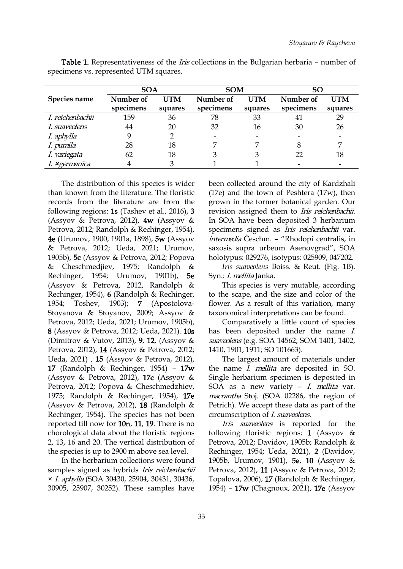|                       | <b>SOA</b> |            | <b>SOM</b>               |            | SO        |                          |
|-----------------------|------------|------------|--------------------------|------------|-----------|--------------------------|
| Species name          | Number of  | <b>UTM</b> | Number of                | <b>UTM</b> | Number of | <b>UTM</b>               |
|                       | specimens  | squares    | specimens                | squares    | specimens | squares                  |
| I. reichenbachii      | 159        | 36         | 78                       | 33         | 41        | 29                       |
| I. suaveolens         | 44         | 20         | 32                       | 16         | 30        | 26                       |
| I. aphylla            |            |            | $\overline{\phantom{a}}$ |            |           |                          |
| I. pumila             | 28         | 18         |                          |            |           |                          |
| I. variegata          | 62         | 18         |                          |            | 22        | 18                       |
| I. <b>×</b> germanica |            |            |                          |            |           | $\overline{\phantom{0}}$ |

Table 1. Representativeness of the *Iris* collections in the Bulgarian herbaria - number of specimens vs. represented UTM squares.

The distribution of this species is wider than known from the literature. The floristic records from the literature are from the following regions: 1s (Tashev et al., 2016), 3 (Assyov & Petrova, 2012), 4w (Assyov & Petrova, 2012; Randolph & Rechinger, 1954), 4e (Urumov, 1900, 1901a, 1898), 5w (Assyov & Petrova, 2012; Ueda, 2021; Urumov, 1905b), 5c (Assyov & Petrova, 2012; Popova & Cheschmedjiev, 1975; Randolph & Rechinger, 1954; Urumov, 1901b), 5e (Assyov & Petrova, 2012, Randolph & Rechinger, 1954), 6 (Randolph & Rechinger, 1954; Toshev, 1903); 7 (Apostolova- Stoyanova & Stoyanov, 2009; Assyov & Petrova, 2012; Ueda, 2021; Urumov, 1905b), 8 (Assyov & Petrova, 2012; Ueda, 2021). 10s (Dimitrov & Vutov, 2013), 9, 12, (Assyov & Petrova, 2012), 14 (Assyov & Petrova, 2012; Ueda, 2021) , 15 (Assyov & Petrova, 2012), 17 (Randolph & Rechinger, 1954) – 17w (Assyov & Petrova, 2012), 17c (Assyov & Petrova, 2012; Popova & Cheschmedzhiev, 1975; Randolph & Rechinger, 1954), 17e (Assyov & Petrova, 2012), 18 (Randolph & Rechinger, 1954). The species has not been reported till now for  $10n$ ,  $11$ ,  $19$ . There is no chorological data about the floristic regions 2, 13, 16 and 20. The vertical distribution of the species is up to 2900 m above sea level.

In the herbarium collections were found samples signed as hybrids Iris reichenbachii × I. aphylla (SOA 30430, 25904, 30431, 30436, 30905, 25907, 30252). These samples have

been collected around the city of Kardzhali (17e) and the town of Peshtera (17w), then grown in the former botanical garden. Our revision assigned them to Iris reichenbachii. In SOA have been deposited 3 herbarium specimens signed as *Iris reichenbachii* var. intermedia Česchm. – "Rhodopi centralis, in saxosis supra urbeum Asenovgrad", SOA holotypus: 029276, isotypus: 025909, 047202.

*Iris suaveolens* Boiss. & Reut. (Fig. 1B). Syn.: *I. mellita* Janka.

This species is very mutable, according to the scape, and the size and color of the flower. As a result of this variation, many taxonomical interpretations can be found.

Comparatively a little count of species has been deposited under the name I. suaveolens (e.g. SOA 14562; SOM 1401, 1402, 1410, 1901, 1911; SO 101663).

The largest amount of materials under the name *I. mellita* are deposited in SO. Single herbarium specimen is deposited in SOA as a new variety  $-$  *I. mellita* var. macrantha Stoj. (SOA 02286, the region of Petrich). We accept these data as part of the circumscription of *I. suaveolens.* 

*Iris suaveolens* is reported for the following floristic regions: 1 (Assyov & Petrova, 2012; Davidov, 1905b; Randolph & Rechinger, 1954; Ueda, 2021), 2 (Davidov, 1905b, Urumov, 1901), 5e, 10 (Assyov & Petrova, 2012), 11 (Assyov & Petrova, 2012; Topalova, 2006), 17 (Randolph & Rechinger, 1954) – 17w (Chagnoux, 2021), 17e (Assyov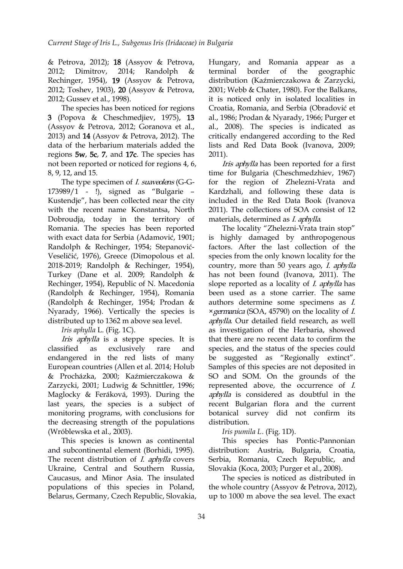& Petrova, 2012); 18 (Assyov & Petrova, 2012; Dimitrov, 2014; Randolph & Rechinger, 1954), 19 (Assyov & Petrova, 2012; Toshev, 1903), 20 (Assyov & Petrova, 2012; Gussev et al., 1998).

The species has been noticed for regions 3 (Popova & Cheschmedjiev, 1975), 13 (Assyov & Petrova, 2012; Goranova et al., 2013) and 14 (Assyov & Petrova, 2012). The data of the herbarium materials added the regions 5w, 5c, 7, and 17c. The species [ha](https://orcid.org/0000-0002-1329-4891)s not been reported or noticed for regions 4, 6, 8, 9, 12, and 15.

The type specimen of *I. suaveolens* (G-G-173989/1 - !), signed as "Bulgarie – Kustendje", has been collected near the city with the recent name Konstantsa, North Dobroudja, today in the territory of Romania. The species has been reported with exact data for Serbia (Adamović, 1901; Randolph & Rechinger, 1954; Stepanović- Veseličić, 1976), Greece (Dimopolous et al.2018-2019; Randolph & Rechinger, 1954), Turkey (Dane et al. 2009; Randolph & Rechinger, 1954), Republic of N. Macedonia (Randolph & Rechinger, 1954), Romania (Randolph & Rechinger, 1954; Prodan & Nyarady, 1966). Vertically the species is distributed up to 1362 m above sea level.

*Iris aphylla* L. (Fig. 1C).

Iris aphylla is a steppe species. It is endangered in the red lists of many European countries (Allen et al. 2014; Holub & Procházka, 2000; Kaźmierczakowa & Zarzycki, 2001; Ludwig & Schnittler, 1996; Maglocky & Feráková, 1993). During the last years, the species is a subject of monitoring programs, with conclusions for the decreasing strength of the populations (Wróblewska et al., 2003).

This species is known as continental and subcontinental element (Borhidi, 1995). The recent distribution of *I. aphylla* covers Ukraine, Central and Southern Russia, Caucasus, and Minor Asia. The insulated populations of this species in Poland, Belarus, Germany, Czech Republic, Slovakia,

and Romania appear as a geographic distribution (Kaźmierczakowa & Zarzycki, 2001; Webb & Chater, 1980). For the Balkans, it is noticed only in isolated localities in Croatia, Romania, and Serbia (Obradović et al., 1986; Prodan & Nyarady, 1966; Purger et al., 2008). The species is indicated as critically endangered according to the Red lists and Red Data Book (Ivanova, 2009; 2011).

Iris aphylla has bee[n](https://orcid.org/0000-0002-9968-9017) reported for a first time for Bulgaria (Cheschmedzhiev, 1967) for the region of Zhelezni-Vrata and Kardzhali, and following these data is included in the Red Data Book (Ivanova 2011). The collections of SOA consist of 12 materials, determined as I. aphylla.

classified as exclusively rare and species, and the status of the species could The locality "Zhelezni-Vrata train stop" is highly damaged by anthropogenous factors. After the last collection of the species from the only known locality for the country, more than 50 years ago, I. aphylla has not been found (Ivanova, 2011). The slope reported as a locality of *I. aphylla* has been used as a stone carrier. The same authors determine some specimens as I. ×germanica (SOA, 45790) on the locality of I. aphylla. Our detailed field research, as well as investigation of the Herbaria, showed that there are no recent data to confirm the be suggested as "Regionally extinct". Samples of this species are not deposited in SO and SOM. On the grounds of the represented above, the occurrence of I. aphylla is considered as doubtful in the recent Bulgarian flora and the current botanical survey did not confirm its distribution.

*Iris pumila L.* (Fig. 1D).

This species has Pontic-Pannonian distribution: Austria, Bulgaria, Croatia, Serbia, Romania, Czech Republic, and Slovakia (Koca, 2003; Purger et al., 2008).

The species is noticed as distributed in the whole country (Assyov & Petrova, 2012), up to 1000 m above the sea level. The exact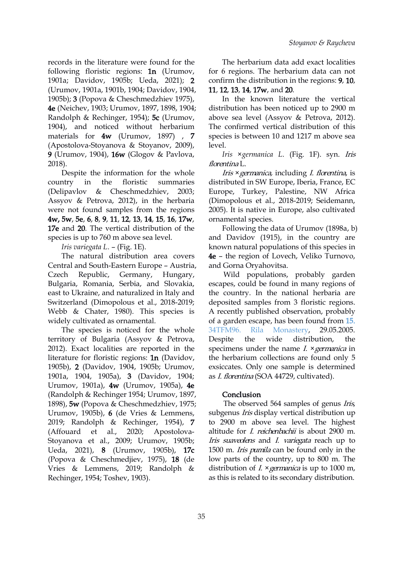records in the literature were found for the following floristic regions: 1n (Urumov, 1901a; Davidov, 1905b; Ueda, 2021); 2 (Urumov, 1901a, 1901b, 1904; Davidov, 1904, 1905b); 3 (Popova & Cheschmedzhiev 1975), 4e (Neichev, 1903; Urumov, 1897, 1898, 1904; Randolph & Rechinger,1954); 5c (Urumov, 1904), and noticed without herbarium materials for 4w (Urumov, 1897) , 7 (Apostolova-Stoyanova & Stoyanov, 2009), 9 (Urumov,1904), 16w (Glogov & Pavl[ov](https://orcid.org/0000-0002-1329-4891)a, 2018).

Despite the information for the whole (Delipavlov & Cheschmedzhiev, 2003; Assyov & Petrova, 2012), in the herbaria were not found samples from the regions 4w, 5w, 5e, 6, 8, 9, 11, 12, 13, 14, 15, 16, 17w, 17e and 20. The vertical distribution of the species is up to 760 m above sea level.

*Iris variegata L.* – (Fig. 1E).

The natural distribution area covers Central and South-Eastern Europe – Austria, Czech Republic, Germany, Hungary, Bulgaria, Romania, Serbia, and Slovakia, east to Ukraine, and naturalized in Italy and Switzerland (Dimopolous et al., 2018-2019; Webb & Chater, 1980). This species is widely cultivated as ornamental.

The species is noticed for the whole 34TFM96. Rila territory of Bulgaria (Assyov & Petrova, 2012). Exact localities are reported in the literature for floristic regions: 1n (Davidov, 1905b), 2 (Davidov, 1904, 1905b; Urumov, 1901a, 1904, 1905a), 3 (Davidov, 1904; Urumov, 1901a), 4w (Urumov, 1905a), 4e (Randolph & Rechinger 1954; Urumov, 1897, 1898), 5w (Popova & Cheschmedzhiev, 1975; Urumov, 1905b), 6 (de Vries & Lemmens, 2019; Randolph & Rechinger, 1954), 7 (Affouard et al., 2020; Apostolova- Stoyanova et al., 2009; Urumov, 1905b; Ueda, 2021), 8 (Urumov, 1905b), 17c (Popova & Cheschmedjiev, 1975), 18 (de Vries & Lemmens, 2019; Randolph & Rechinger, 1954; Toshev, 1903).

The herbarium data add exact localities for 6 regions. The herbarium data can not confirm the distribution in the regions: 9, 10, 11, 12, 13, 14, 17w, and 20.

In the known literature the vertical distribution has been noticed up to 2900 m above sea level (Assyov & Petrova, 2012). The confirmed vertical distribution of this species is between 10 and 1217 m above sea level.

*Iris ×germanica L.* [\(F](https://orcid.org/0000-0002-9968-9017)ig. 1F). syn. Iris florentina L.

country in the floristic summaries distributed in SW Europe, Iberia, France, EC Iris ×germanica, including I. florentina, is Europe, Turkey, Palestine, NW Africa (Dimopolous et al., 2018-2019; Seidemann, 2005). It is native in Europe, also cultivated ornamental species.

> Following the data of Urumov (1898a, b) and Davidov (1915), in the country are known natural populations of this species in 4e – the region of Lovech, Veliko Turnovo, and Gorna Oryahovitsa.

> Wild populations, probably garden escapes, could be found in many regions of the country. In the national herbaria are deposited samples from 3 floristic regions. A recently published observation, probably of a garden escape, has been found from [15.](https://observation.org/observation/135462560/) Monastery, 29.05.2005. distribution, the specimens under the name  $I. \times \text{germanica}$  in the herbarium collections are found only 5 exsiccates. Only one sample is determined as I. florentina (SOA 44729, cultivated).

#### Conclusion

The observed 564 samples of genus Iris, subgenus *Iris* display vertical distribution up to 2900 m above sea level. The highest altitude for *I. reichenbachii* is about 2900 m. Iris suaveolens and I. variegata reach up to 1500 m. *Iris pumila* can be found only in the low parts of the country, up to 800 m. The distribution of  $I. \times \gamma$  segmanica is up to 1000 m, as this is related to its secondary distribution.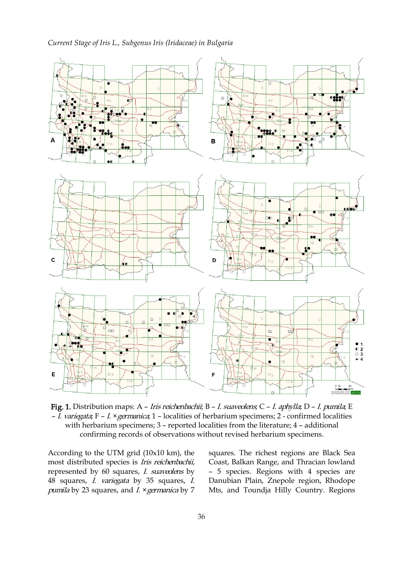## *Current Stage of Iris L., Subgenus Iris (Iridaceae) in Bulgaria*



Fig. 1. Distribution maps: A – Iris reichenbachii; B – I. suaveolens; C – I. aphylla; D – I. pumila; E – I. variegata; F – I. ×germanica; 1 – localities of herbarium specimens; 2 - confirmed localities with herbarium specimens; 3 – reported localities from the literature; 4 – additional confirming records of observations without revised herbarium specimens.

According to the UTM grid (10x10 km), the most distributed species is Iris reichenbachii, represented by 60 squares, I. suaveolens by 48 squares, I. variegata by 35 squares, I. pumila by 23 squares, and  $I. \times$ germanica by 7 squares. The richest regions are Black Sea Coast, Balkan Range, and Thracian lowland – 5 species. Regions with 4 species are Danubian Plain, Znepole region, Rhodope Mts, and Toundja Hilly Country. Regions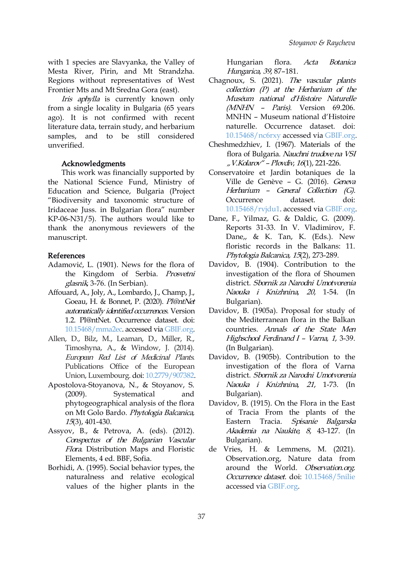with 1 species are Slavyanka, the Valley of Mesta River, Pirin, and Mt Strandzha. Regions without representatives of West Frontier Mts and Mt Sredna Gora (east).

Iris aphylla is currently known only from a single locality in Bulgaria (65 years ago). It is not confirmed with recent literature data, terrain study, and herbarium samples, and to be still considered unverified.

#### Acknowledgments

This work was financially supported by the National Science Fund, Ministry of Education and Science, Bulgaria (Project "Biodiversity and taxonomic structure of Iridaceae Juss. in Bulgarian flora" number KP-06-N31/5). The authors would like to thank the anonymous reviewers of the manuscript.

#### References

- Adamović, L. (1901). News for the flora of the Kingdom of Serbia. Prosvetni glasnik, 3-76. (In Serbian).
- Affouard, A., Joly, A., Lombardo, J., Champ, J., Goeau, H. & Bonnet, P. (2020). Pl@ntNet automatically identified occurrences. Version 1.2. Pl@ntNet. Occurrence dataset. doi: [10.15468/mma2ec](https://doi.org/10.15468/mma2ec). accessed via [GBIF.org](https://www.GBIF.org).
- Allen, D., Bilz, M., Leaman, D., Miller, R., Timoshyna, A., & Window, J. (2014). European Red List of Medicinal Plants. Publications Office of the European Union, Luxembourg. doi: [10.2779/907382.](https://doi.org/10.2779/907382)
- Apostolova-Stoyanova, N., & Stoyanov, S. (2009). Systematical and phytogeographical analysis of the flora on Mt Golo Bardo. Phytologia Balcanica, 15(3), 401-430.
- Assyov, B., & Petrova, A. (eds). (2012). Conspectus of the Bulgarian Vascular Flora. Distribution Maps and Floristic Elements, 4 ed. BBF, Sofia.
- Borhidi, A. (1995). Social behavior types, the naturalness and relative ecological values of the higher plants in the

Hungarian flora. Acta Botanica Hungarica, <sup>39</sup>, 87–181.

- Chagnoux, S. (2021). The vascular plants collection (P) at the Herbarium of the Muséum national d'Histoire Naturelle (MNHN – Paris). Version 69.206. MNHN – Museum national d'Histoire naturelle. Occurrence dataset. doi: [10.15468/nc6rxy](https://doi.org/10.15468/nc6rxy) accessed via [GBIF.org.](https://www.GBIF.org)
- Cheshmedzhiev, I. (1967). Materials of the flora of Bulgaria. [Nau](https://orcid.org/0000-0002-9968-9017)chni trudove na VSI " V.Kolarov" – Plovdiv, 16(1), 221-226.
- Conservatoire et Jardin botaniques de la Ville de Genève – G. (2016). Geneva Herbarium – General Collection (G). Occurrence dataset. doi: [10.15468/rvjdu1](https://doi.org/10.15468/rvjdu1). accessed via [GBIF.org.](https://doi.org/GBIF.org)
- Dane, F., Yilmaz, G. & Daldic, G. (2009). Reports 31-33.In V. Vladimirov, F. Dane,, & K. Tan, K. (Eds.). New floristic records in the Balkans: 11. Phytologia Balcanica, <sup>15</sup>(2), 273-289.
- Davidov, B. (1904). Contribution to the investigation of the flora of Shoumen district. Sbornik za Narodni Umotvorenia Naouka <sup>i</sup> Knizhnina, 20, 1-54. (In Bulgarian).
- Davidov, B. (1905a). Proposal for study of the Mediterranean flora in the Balkan countries. Annals of the State Men Highschool Ferdinand <sup>I</sup> – Varna, <sup>1</sup>, 3-39. (In Bulgarian).
- Davidov, B. (1905b). Contribution to the investigation of the flora of Varna district. Sbornik za Narodni Umotvorenia Naouka <sup>i</sup> Knizhnina, 21, 1-73. (In Bulgarian).
- Davidov, B. (1915). On the Flora in the East of Tracia From the plants of the Eastern Tracia. Spisanie Balgarska Akademia na Naukite, 8, 43-127. (In Bulgarian).
- Vries, H. & Lemmens, M. (2021). Observation.org, Nature data from around the World. Observation.org. Occurrence dataset. doi: [10.15468/5nilie](https://doi.org/10.15468/5nilie) accessed via [GBIF.org](https://www.GBIF.org).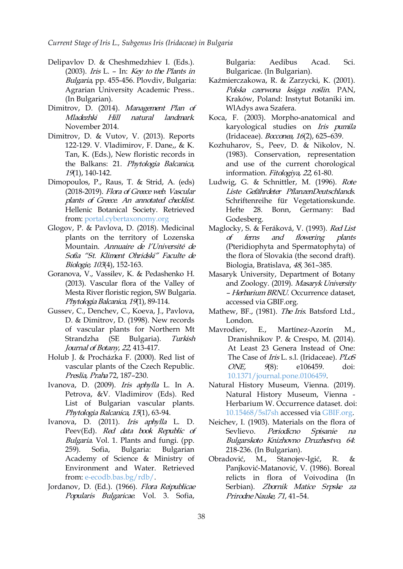- Delipavlov D. & Cheshmedzhiev I. (Eds.). (2003). Iris L. – In: Key to the Plants in Bulgaria, pp. 455-456. Plovdiv, Bulgaria: Agrarian University Academic Press.. (In Bulgarian).
- Dimitrov, D. (2014). Management Plan of Mladezhki Hill natural landmark. November 2014.
- Dimitrov, D. & Vutov, V. (2013). Reports 122-129. V. Vladimirov, F. Dane,, & K. Tan, K. (Eds.), New floristic record[s](https://orcid.org/0000-0002-1329-4891) in the Balkans: 21. Phytologia Balcanica, 19(1), 140-142.
- Dimopoulos, P., Raus, T. & Strid, A. (eds) (2018-2019). Flora of Greece web. Vascular plants of Greece. An annotated checklist. Hellenic Botanical Society. Retrieved Hefte 28. from: [portal.cybertaxonomy.org](http://portal.cybertaxonomy.org/flora-greece/)
- Glogov, P. & Pavlova, D. (2018). Medicinal plants on the territory of Lozenska of ferns Mountain. Annuaire de l'Université de Sofia "St. Kliment Ohridski" Faculte de Biologie, <sup>103</sup>(4), 152-163.
- Goranova, V., Vassilev, K. & Pedashenko H. (2013). Vascular flora of the Valley of Mesta River floristic region, SW Bulgaria. Phytologia Balcanica, 19(1), 89-114.
- Gussev, C., Denchev, C., Koeva, J., Pavlova, D. & Dimitrov, D. (1998). New records of vascular plants for Northern Mt Strandzha (SE Bulgaria). Turkish Journal of Botany, <sup>22</sup>, 413-417.
- Holub J. & Procházka F. (2000). Red list of vascular plants of the Czech Republic. ONE, Preslia, Praha 72, 187–230.
- Ivanova, D. (2009). *Iris aphylla* L. In A.<br>Petrova, &V. Vladimirov (Eds). Red List of Bulgarian vascular plants. Phytologia Balcanica, <sup>15</sup>(1), 63-94.
- Ivanova, D. (2011). Iris aphylla L. D. Peev(Ed). *Red data book Republic of* Sevlievo. Bulgaria. Vol. 1. Plants and fungi. (pp. 259). Sofia, Bulgaria: Bulgarian 218-236. (In Bulgarian). Academy of Science & Ministry of Obradović, M., Environment and Water. Retrieved from: [e-ecodb.bas.bg/rdb/.](http://e-ecodb.bas.bg/rdb/bg/vol1/Iriaphyl.html)
- Jordanov, D. (Ed.). (1966). Flora Reipublicae Popularis Bulgaricae. Vol. 3. Sofia,

Bulgaria: Aedibus Acad. Sci. Bulgaricae. (In Bulgarian).

- Kaźmierczakowa, R. & Zarzycki, K. (2001). Polska czerwona księga roślin. PAN, Kraków, Poland: Instytut Botaniki im. WlAdys awa Szafera.
- Koca, F. (2003). Morpho-anatomical and karyological studies on Iris pumila (Iridaceae). Bocconea, 16(2), 625–639.
- Kozhuharov, S., Peev, D. & Nikolov, N. (1983). Conserva[tio](https://orcid.org/0000-0002-9968-9017)n, representation and use of the current chorological information. Fitologiya, <sup>22</sup>, 61-80.
- Ludwig, G. & Schnittler, M. (1996). Rote Liste Gefährdeter PflanzenDeutschlands. Schriftenreihe für Vegetationskunde. Bonn, Germany: Bad Godesberg.
- Maglocky, S. & Feráková, V. (1993). Red List and flowering plants (Pteridiophyta and Spermatophyta) of the flora of Slovakia (the second draft). Biologia, Bratislava, 48, 361–385.
- Masaryk University, Department of Botany and Zoology. (2019). Masaryk University *– Herbarium BRNU*. Occurrence dataset, accessed via GBIF.org.
- Mathew, BF., (1981). The Iris. Batsford Ltd., London.
- Martínez-Azorín M., Dranishnikov P. & Crespo, M. (2014). At Least 23 Genera Instead of One: The Case of *Iris* L. s.l. (Iridaceae). PLoS 9(8): e106459. doi: [10.1371/journal.pone.0106459](https://doi.org/10.1371/journal.pone.0106459).
- Natural History Museum, Vienna. (2019). Natural History Museum, Vienna - Herbarium W. Occurrence dataset. doi: [10.15468/5sl7sh](https://doi.org/10.15468/5sl7sh) accessed via [GBIF.org.](https://www.GBIF.org)
- Neichev, I. (1903). Materials on the flora of Periodicno Spisanie na Bulgarskoto Knizhovno Druzhestvo, <sup>64</sup>:
- Stanojev-Igić, R. & Panjković-Matanović, V. (1986). Boreal relicts in flora of Voivodina (In Serbian). Zbornik Matice Srpske za Prirodne Nauke, 71, 41–54.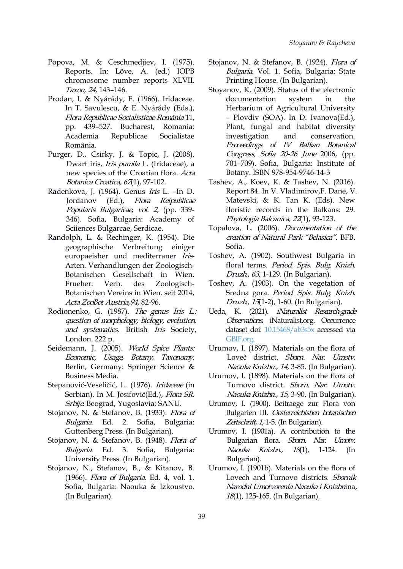- Popova, M. & Ceschmedjiev, I. (1975). Reports. In: Löve, A. (ed.) IOPB chromosome number reports XLVII. Taxon, 24, 143–146.
- Prodan, I. & Nyárády, E. (1966). Iridaceae. In T. Savulescu,& E. Nyárády (Eds.), Flora Republicae Socialisticae România 11, pp. 439–527. Bucharest, Romania: Academia Republicae Socialistae România.
- Purger, D., Csirky, J. & Topic, J. (20[08](https://orcid.org/0000-0002-1329-4891)). Dwarf iris, Iris pumila L. (Iridaceae), a new species of the Croatian flora. Acta Botanica Croatica, 67(1), 97-102.
- Radenkova, J. (1964). Genus Iris L. –In D. Jordanov (Ed.), Flora Reipublicae Popularis Bulgaricae, vol. <sup>2</sup>, (pp. 339- 346). Sofia, Bulgaria: Academy of Sciiences Bulgarcae, Serdicae.
- Randolph, L. & Rechinger, K. (1954). Die geographische Verbreitung einiger europaeisher und mediterraner Iris- Arten. Verhandlungen der Zoologisch- Botanischen Gesellschaft in Wien. Frueher: Verh. des Zoologisch- Botanischen Vereins in Wien. seit 2014, Acta ZooBot Austria,94, 82-96.
- Rodionenko, G. (1987). The genus Iris L.: question of morphology, biology, evolution, and systematics. British Iris Society, London. 222 p.
- Seidemann, J. (2005). World Spice Plants: Economic, Usage, Botany, Taxonomy. Berlin, Germany: Springer Science & Business Media.
- Stepanović-Veseličić, L. (1976). Iridaceae (in Serbian). In M. Josifović(Ed.), Flora SR. Srbije. Beograd, Yugoslavia: SANU.
- Stojanov, N. & Stefanov, B. (1933). Flora of Bulgaria. Ed. 2. Sofia, Bulgaria: Guttenberg Press. (In Bulgarian).
- Stojanov, N. & Stefanov, B. (1948). Flora of Bulgaria. Ed. 3. Sofia, Bulgaria: University Press. (In Bulgarian).
- Stojanov, N., Stefanov, B., & Kitanov, B. (1966). Flora of Bulgaria. Ed. 4, vol. 1. Sofia, Bulgaria: Naouka & Izkoustvo. (In Bulgarian).
- Stojanov, N. & Stefanov, B. (1924). Flora of Bulgaria. Vol. 1. Sofia, Bulgaria: State Printing House. (In Bulgarian).
- Stoyanov, K. (2009). Status of the electronic documentation system in the Herbarium of Agricultural University – Plovdiv (SOA). In D. Ivanova(Ed.), Plant, fungal and habitat diversity investigation and conservation. Proceedings of IV Balkan Botanical Congress, Sofia 2[0-2](https://orcid.org/0000-0002-9968-9017)6 June 2006, (pp. 701–709). Sofia, Bulgaria: Institute of Botany. ISBN 978-954-9746-14-3
- Tashev, A., Koev, K. & Tashev, N. (2016). Report 84. In V. Vladimirov,F. Dane, V. Matevski, & K. Tan K. (Eds). New floristic records in the Balkans: 29. Phytologia Balcanica, <sup>22</sup>(1), 93-123.
- Topalova, L. (2006). *Documentation of the* creation of Natural Park "Belasica". BFB. Sofia.
- Toshev, A. (1902). Southwest Bulgaria in floral terms. Period. Spis. Bulg. Knizh. Druzh., 63, 1-129. (In Bulgarian).
- Toshev, A. (1903). On the vegetation of Sredna gora. Period. Spis. Bulg. Knizh. Druzh., 15(1-2), 1-60. (In Bulgarian).
- Ueda, K. (2021). *iNaturalist Research-grade* Observations. iNaturalist.org. Occurrence dataset doi: [10.15468/ab3s5x](https://doi.org/10.15468/ab3s5x) accessed via [GBIF.org.](https://www.GBIF.org)
- Urumov, I. (1897). Materials on the flora of Loveč district. Sborn. Nar. Umotv. Naouka Knizhn., 14, 3-85. (In Bulgarian).
- Urumov, I. (1898). Materials on the flora of Turnovo district. Sborn. Nar. Umotv. Naouka Knizhn., 15, 3-90. (In Bulgarian).
- Urumov, I. (1900). Beitraege zur Flora von Bulgarien III. Oesterreichishen botanischen Zeitschrift, 1, 1-5. (In Bulgarian).
- Urumov, I. (1901a). A contribution to the Bulgarian flora. Sborn. Nar. Umotv. Naouka Knizhn., 18(1), 1-124. (In Bulgarian).
- Urumov, I. (1901b). Materials on the flora of Lovech and Turnovo districts. Sbornik Narodni Umotvorenia Naouka <sup>i</sup> Knizhnina, 18(1), 125-165. (In Bulgarian).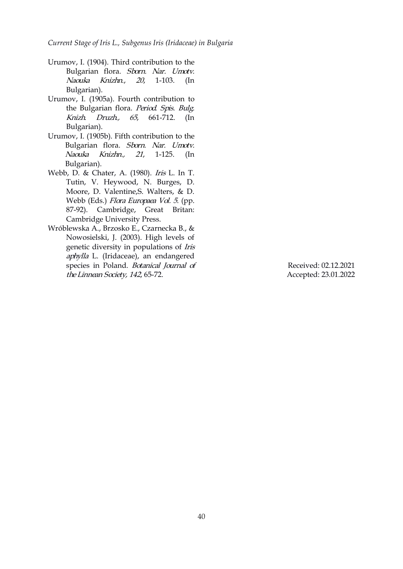*Current Stage of Iris L., Subgenus Iris (Iridaceae) in Bulgaria*

- Urumov, I. (1904). Third contribution to the Bulgarian flora. Sborn. Nar. Umotv. Naouka Knizhn.,20, 1-103. (In Bulgarian).
- Urumov, I. (1905a). Fourth contribution to the Bulgarian flora. Period. Spis. Bulg. Knizh. Druzh., 65, 661-712. (In Bulgarian).
- Urumov, I. (1905b). Fifth contribution to the Bulgarian flora. Sborn. Nar. Umotv. Naouka Knizhn., 21, 1-125. [\(I](https://orcid.org/0000-0002-1329-4891)n Bulgarian).
- Webb, D. & Chater, A. (1980). Iris L. In T. Tutin, V. Heywood, N. Burges, D. Moore, D. Valentine,S. Walters, & D. Webb (Eds.) Flora Europaea Vol. <sup>5</sup>. (pp. 87-92). Cambridge, Great Britan: Cambridge University Press.
- Wróblewska A., Brzosko E., Czarnecka B., & Nowosielski, J. (2003). High levels of genetic diversity in populations of Iris aphylla L. (Iridaceae), an endangered species in Poland. Botanical Journal of theLinnean Society, <sup>142</sup>, 65-72. Received: 02.12.2021

Accepted: 23.01.2022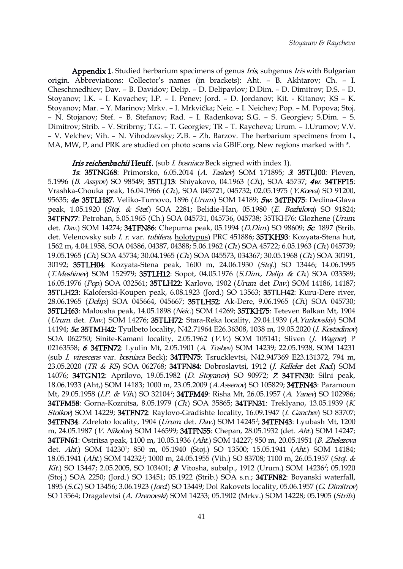Appendix 1. Studied herbarium specimens of genus *Iris*, subgenus *Iris* with Bulgarian origin. Abbreviations: Collector's names (in brackets): Aht. – B. Akhtarov; Ch. – I. Cheschmedhiev; Dav. – B. Davidov; Delip. – D. Delipavlov; D.Dim. – D. Dimitrov; D.S. – D. Stoyanov; I.K. – I. Kovachev; I.P. – I. Penev; Jord. – D. Jordanov; Kit. - Kitanov; KS – K. Stoyanov; Mar. – Y. Marinov; Mrkv. – I. Mrkvička; Neic. – I. Neichev; Pop. – M. Popova; Stoj. – N. Stojanov; Stef. – B. Stefanov; Rad. – I. Radenkova; S.G. – S. Georgiev; S.Dim. – S. Dimitrov; Strib. – V. Stribrny; T.G. – T. Georgiev; TR – T. Raycheva; Urum. – I.Urumov; V.V. – V. Velchev; Vih. – N. Vihodzevsky; Z.B. – Zh. Barzov. The herbarium specimens from L, MA, MW, P, and PRK are studied on photo scans via GBIF.org. New regions marked with  $*$ .

#### **Iris reichenbachii Heuff.** (sub *I. bosniaca* Beck signed with index [1\).](https://orcid.org/0000-0002-9968-9017)

1s: 35TNG68: Primorsko, 6.05.2014 (A. Tashev) SOM 171895; 3: 35TLJ00: Pleven, 5.1996 (B. Assyov) SO 98549; 35TLJ13: Shiyakovo, 04.1963 (Ch.), SOA 45737; 4w: 34TFP15: Vrashka-Chouka peak, 16.04.1966 (Ch.), SOA 045721, 045732; 02.05.1975 (Y.Koeva) SO 91200, 95635; 4e: 35TLH87. Veliko-Turnovo, 1896 (Urum) SOM 14189; 5w: 34TFN75: Dedina-Glava peak, 1.05.1920 (Stoj. & Stef.) SOA 2281; Belidie-Han, 05.1980 (E. Bozhilova) SO 91824; 34TFN77: Petrohan, 5.05.1965 (Ch.) SOA 045731, 045736, 045738; 35TKH76: Glozhene (Urum. det. Dav.) SOM 14274; 34TFN86: Chepurna peak, 05.1994 (D.Dim.) SO 98609; 5c. 1897 (Strib. det. Velenovsky sub *I. r.* var. *tubifera*, holotypus) PRC 451886; 35TKH93: Kozyata-Stena hut, 1562 m, 4.04.1958, SOA 04386, 04387, 04388; 5.06.1962 (Ch.) SOA 45722; 6.05.1963 (Ch.) 045739; 19.05.1965 (Ch.) SOA 45734; 30.04.1965 (Ch.) SOA 045573, 034367; 30.05.1968 (Ch.) SOA 30191, 30192; 35TLH04: Kozyata-Stena peak, 1600 m, 24.06.1930 (Stoj.) SO 13446; 14.06.1995 (T.Meshinev) SOM 152979; 35TLH12: Sopot, 04.05.1976 (S.Dim, Delip. & Ch.) SOA 033589; 16.05.1976 (Pop.) SOA 032561; 35TLH22: Karlovo, 1902 (Urum. det Dav.) SOM 14186, 14187; 35TLH23: Kaloferski-Koupen peak, 6.08.1923 (Jord.) SO 13563; 35TLH42: Kuru-Dere river, 28.06.1965 (Delip.) SOA 045664, 045667; 35TLH52: Ak-Dere, 9.06.1965 (Ch.) SOA 045730; 35TLH63: Malousha peak, 14.05.1898 (Neic.) SOM 14269; 35TKH75: Teteven Balkan Mt, 1904 (Urum. det. Dav.) SOM 14276; 35TLH72: Stara-Reka locality, 29.04.1939 (A.Yurkovskiy) SOM 14194; **5e. 35TMH42:** Tyulbeto locality, N42.71964 E26.36308, 1038 m, 19.05.2020 (I. Kostadinov) SOA 062750; Sinite-Kamani locality, 2.05.1962 (V.V.) SOM 105141; Sliven (J. Wagner) P 02163558; 6: 34TFN72: Lyulin Mt, 2.05.1901 (A. Toshev) SOM 14239; 22.05.1938, SOM 14231 (sub I. virescens var. bosniaca Beck); 34TFN75: Tsrucklevtsi, N42.947369 E23.131372, 794 m, 23.05.2020 (TR & KS) SOA 062768; 34TFN84: Dobroslavtsi, 1912 (J. Kelleler det Rad) SOM 14076; 34TGN12: Aprilovo, 19.05.1982 (D. Stoyanov) SO 90972; <sup>7</sup>: 34TFN30: Silni peak, 18.06.1933 (Aht,) SOM 14183; 1000 m, 23.05.2009 (A.Assenov) SO 105829; 34TFN43: Paramoun Mt, 29.05.1958 (*I.P. & Vih*) SO 32104<sup>1</sup>; **34TFM49**: Risha Mt, 26.05.1957 (*A. Yanev*) SO 102986; 34TFM58: Gorna-Koznitsa, 8.05.1979 (Ch.) SOA 35865; 34TFN31: Treklyano, 13.05.1939 (K. Stoikov) SOM 14229; 34TFN72: Raylovo-Gradishte locality, 16.09.1947 (I. Ganchev) SO 83707; **34TFN34**: Zdreloto locality, 1904 (*Urum*. det. *Dav.*) SOM 14245<sup>1</sup>; **34TFN43**: Lyubash Mt, 1200 m, 24.05.1987 (V. Nikolov) SOM 146599; 34TFN55: Chepan, 28.05.1932 (det. Aht.) SOM 14247; 34TFN61: Ostritsa peak, 1100 m, 10.05.1936 (Aht.) SOM 14227; 950 m, 20.05.1951 (B. Zhelezova det. *Aht.*) SOM 14230<sup>1</sup>; 850 m, 05.1940 (Stoj.) SO 13500; 15.05.1941 (*Aht.*) SOM 14184; 18.05.1941 *(Aht.*) SOM 14232<sup>1</sup>; 1000 m, 24.05.1955 (Vih.) SO 83708; 1100 m, 26.05.1957 *(Stoj. &* Kit.) SO 13447; 2.05.2005, SO 103401; & Vitosha, subalp., 1912 (Urum.) SOM 14236<sup>1</sup>; 05.1920 (Stoj.) SOA 2250; (Jord.) SO 13451; 05.1922 (Strib.) SOA s.n.; 34TFN82: Boyanski waterfall, 1895 (S.G.) SO 13456; 3.06.1923 (Jord.) SO 13449; Dol Rakovets locality, 05.06.1957 (G. Dimitrov) SO 13564; Dragalevtsi (A. Drenovski) SOM 14233; 05.1902 (Mrkv.) SOM 14228; 05.1905 (Strib.)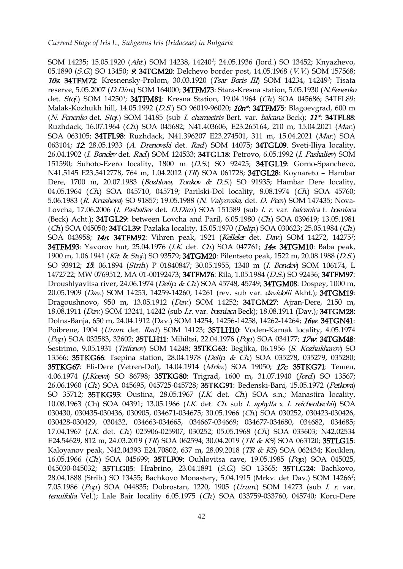SOM 14235; 15.05.1920 *(Aht.*) SOM 14238, 14240<sup>1</sup>; 24.05.1936 (Jord.) SO 13452; Knyazhevo, 05.1890 (S.G.) SO 13450; **9. 34TGM20**: Delchevo border post, 14.05.1968 (V.V.) SOM 157568; **10s: 34TFM72:** Kresnensky-Prolom, 30.03.1920 (*Tsar Boris III*) SOM 14234, 14249<sup>1</sup>; Tisata reserve, 5.05.2007 (D.Dim.) SOM 164000; 34TFM73: Stara-Kresna station, 5.05.1930 (N.Fenenko det. *Stoj.*) SOM 14250<sup>7</sup>; **34TFM81**: Kresna Station, 19.04.1964 (*Ch*) SOA 045686; 34TFL89: Malak-Kozhukh hill, 14.05.1992 (D.S.) SO 96019-96020; 10n<sup>\*</sup>: 34TFM75: Blagoevgrad, 600 m (N. Fenenko det. Stoj.) SOM 14185 (sub I. chamaeiris Bert. var. balcana Beck); 11\*: 34TFL88: Ruzhdack, 16.07.1964 (Ch.) SOA 045682; N41.403606, E23.265164, 210 m, 15.04.2021 (Mar.) SOA 063105; 34TFL98: Ruzhdack, N41.396207 E23.274501, 311 m, 15.04.2021 (Mar.) SOA 063104; 12: 28.05.1933 (A. Drenovski det. Rad.) SOM 14075; 34TGL09. Sveti-Iliya locality, 26.04.1902 (I. Bondev det. Rad.) SOM 124[53](https://orcid.org/0000-0002-1329-4891)3; 34TGL18: Petrovo, 6.05.19[92](https://orcid.org/0000-0002-9968-9017) (I. Pashaliev) SOM 151590; Suhoto-Ezero locality, 1800 m (D.S.) SO 92425; 34TGL19: Gorno-Spanchevo, N41.5145 E23.5412778, 764 m, 1.04.2012 (TR) SOA 061728; 34TGL28: Koynareto - Hambar Dere, 1700 m, 20.07.1983 (Bozhlova, Tonkov & D.S.) SO 91935; Hambar Dere locality, 04.05.1964 (Ch.) SOA 045710, 045719; Parilski-Dol locality, 8.08.1974 (Ch.) SOA 45760; 5.06.1983 (R. Krusheva) SO 91857; 19.05.1988 (N. Valyovska, det. D. Peev) SOM 147435; Nova- Lovcha, 17.06.2006 (I. Pashaliev det. D.Dim.) SOA 151589 (sub I. r. var. balcanica f. bosniaca (Beck) Acht.); 34TGL29: between Lovcha and Paril, 6.05.1980 (Ch) SOA 039619; 13.05.1981  $(Ch)$  SOA 045050; 34TGL39: Pazlaka locality, 15.05.1970 (*Delip*.) SOA 030623; 25.05.1984 (*Ch*.) SOA 043958; *14n*: 34TFM92: Vihren peak, 1921 (*Kelleler* det. *Dav*.) SOM 14272, 14275<sup>1</sup>; 34TFM93: Yavorov hut, 25.04.1976 (I.K. det. Ch.) SOA 047761; 14s: 34TGM10: Baba peak, 1900 m, 1.06.1941 (Kit. & Stoj.) SO 93579; 34TGM20: Pilentseto peak, 1522 m, 20.08.1988 (D.S.) SO 93912; 15: 06.1894 (Strib.) P 01840847; 30.05.1955, 1340 m (I. Bondev) SOM 106174, L 1472722; MW 0769512, MA 01-00192473; 34TFM76: Rila, 1.05.1984 (D.S.) SO 92436; 34TFM97: Droushlyavitsa river, 24.06.1974 (Delip. & Ch.) SOA 45748, 45749; 34TGM08: Dospey, 1000 m, 20.05.1909 (Dav.) SOM 14253, 14259-14260, 14261 (rev. sub var. davidofii Akht.); 34TGM19: Dragoushnovo, 950 m, 13.05.1912 (Dav.) SOM 14252; 34TGM27: Ajran-Dere, 2150 m, 18.08.1911 (Dav.) SOM 13241, 14242 (sub I.r. var. bosniaca Beck); 18.08.1911 (Dav.); 34TGM28: Dolna-Banja, 650 m, 24.04.1912 (Dav.) SOM 14254, 14256-14258, 14262-14264; 16w: 34TGN41: Poibrene, 1904 (*Urum. det. Rad*.) SOM 14123; 35TLH10: Voden-Kamak locality, 4.05.1974 (Pop.) SOA 032583, 32602; 35TLH11: Mihiltsi, 22.04.1976 (Pop.) SOA 034177; 17w: 34TGM48: Sestrimo, 9.05.1931 (Trifonov) SOM 14248; 35TKG63: Beglika, 06.1956 (S. Kozhukharov) SO 13566; 35TKG66: Tsepina station, 28.04.1978 (Delip. & Ch.) SOA 035278, 035279, 035280; 35TKG67: Eli-Dere (Vetren-Dol), 14.04.1914 (Mrkv.) SOA 19050; 17c: 35TKG71: Тешел, 4.06.1974 (*J.Koeva*) SO 86798; 35TKG80: Trigrad, 1600 m, 31.07.1940 (*Jord.*) SO 13567; 26.06.1960 (Ch) SOA 045695, 045725-045728; 35TKG91: Bedenski-Bani, 15.05.1972 (Petkova) SO 35712; 35TKG95: Oustina, 28.05.1967 (I.K. det. Ch.) SOA s.n.; Manastira locality, 10.08.1963 (Ch) SOA 04391; 13.05.1966 (I.K. det. Ch. sub I. aphylla x I. reichenbachii) SOA 030430, 030435-030436, 030905, 034671-034675; 30.05.1966 (Ch) SOA 030252, 030423-030426, 030428-030429, 030432, 034663-034665, 034667-034669; 034677-034680, 034682, 034685; 17.04.1967 (I.K. det. Ch.) 025906-025907, 030252; 05.05.1968 (Ch.) SOA 033603; N42.02534 E24.54629, 812 m, 24.03.2019 (TR) SOA 062594; 30.04.2019 (TR & KS) SOA 063120; 35TLG15: Kaloyanov peak, N42.04393 E24.70802, 637 m, 28.09.2018 (TR & KS) SOA 062434; Kouklen, 16.05.1966 (Ch.) SOA 045699; 35TLF09: Ouhlovitsa cave, 19.05.1985 (Pop.) SOA 045025, 045030-045032; 35TLG05: Hrabrino, 23.04.1891 (S.G.) SO 13565; 35TLG24: Bachkovo, 28.04.1888 (Strib.) SO 13455; Bachkovo Monastery, 5.04.1915 (Mrkv. det Dav.) SOM 14266 1  $\frac{1}{2}$ ; 7.05.1986 (Pop.) SOA 044835; Dobrostan, 1220, 1905 (Urum.) SOM 14273 (sub I. r. var. tenuifolia Vel.); Lale Bair locality 6.05.1975 (Ch.) SOA 033759-033760, 045740; Koru-Dere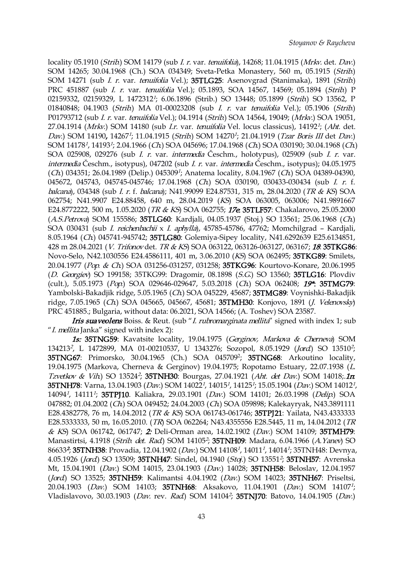locality 05.1910 (Strib.) SOM 14179 (sub *I. r.* var. tenuifolia), 14268; 11.04.1915 (Mrkv. det. Dav.) SOM 14265; 30.04.1968 (Ch.) SOA 034349; Sveta-Petka Monastery, 560 m, 05.1915 (Strib.) SOM 14271 (sub I. r. var. tenuifolia Vel.); 35TLG25: Asenovgrad (Stanimaka), 1891 (Strib.) PRC 451887 (sub *I. r. var. tenuifolia Vel.*); 05.1893, SOA 14567, 14569; 05.1894 (Strib.) P 02159332, 02159329, L 1472312<sup>1</sup>; 6.06.1896 (Strib.) SO 13448; 05.1899 (*Strib*.) SO 13562, P 01840848; 04.1903 (Strib.) MA 01-00023208 (sub I. r. var tenuifolia Vel.); 05.1906 (Strib.) P01793712 (sub *I. r.* var. *tenuifolia* Vel.); 04.1914 (*Strib*.) SOA 14564, 19049; (*Mrkv.*) SOA 19051, 27.04.1914 (*Mrkv.*) SOM 14180 (sub *I.r. var. tenuifolia* Vel. locus classicus), 14192<sup>1</sup>; (*Aht.* det. Dav.) SOM 14190, 14267<sup>1</sup>; 11.04.1915 (*Strib*.) SOM 14270<sup>1</sup>; 21.04.1919 (*Tzar Boris III* det *Dav*.) SOM 14178<sup>1</sup>, 14193<sup>1</sup>; 2.04.1966 (*Ch*.) SOA 045696; 17.04.1968 (*Ch*.) SOA 030190; 30.04.1968 (*Ch*.) SOA 025908, 029276 (sub I. r. var. int[erm](https://orcid.org/0000-0002-1329-4891)edia Česchm., holotypus), 0[25](https://orcid.org/0000-0002-9968-9017)909 (sub I. r. var. intermedia Česchm., isotypus), 047202 (sub I. r. var. intermedia Česchm., isotypus); 04.05.1975  $(Ch)$  034351; 26.04.1989 (Delip.) 045309<sup>1</sup>; Anatema locality, 8.04.1967  $(Ch)$  SOA 04389-04390, 045672, 045743, 045745-045746; 17.04.1968 (Ch) SOA 030190, 030433-030434 (sub I. r. f. balcana), 034348 (sub I. r. f. balcana); N41.99099 E24.87531, 315 m, 28.04.2020 (TR & KS) SOA 062754; N41.9907 E24.88458, 640 m, 28.04.2019 (KS) SOA 063005, 063006; N41.9891667 E24.8772222, 500 m, 1.05.2020 (TR & KS) SOA 062755; 17e: 35TLF57: Chakalarovo, 25.05.2000 (A.S.Petrova) SOM 155586; 35TLG60: Kardjali, 04.05.1937 (Stoj.) SO 13561; 25.06.1968 (Ch.) SOA 030431 (sub I. reichenbachii x I. aphylla), 45785-45786, 47762; Momchilgrad – Kardjali, 8.05.1964 (Ch.) 045741-945742; 35TLG80: Golemiya-Sipey locality, N41.6292639 E25.6134851, 428 m 28.04.2021 (V. Trifonov det. TR & KS) SOA 063122, 063126-063127, 063167; 18: 35TKG86: Novo-Selo, N42.1030556 E24.4586111, 401 m, 3.06.2010 (KS) SOA 062495; 35TKG89: Smilets, 20.04.1977 (Pop. & Ch.) SOA 031256-031257, 031258; 35TKG96: Kourtovo-Konare, 20.06.1995 (D. Georgiev) SO 199158; 35TKG99: Dragomir, 08.1898 (S.G.) SO 13560; 35TLG16: Plovdiv (cult.), 5.05.1973 (Pop.) SOA 029646-029647, 5.03.2018 (Ch.) SOA 062408; 19\*: 35TMG79: Yambolski-Bakadjik ridge, 5.05.1965 (Ch) SOA 045229, 45687; 35TMG89: Voynishki-Bakadjik ridge, 7.05.1965 (Ch.) SOA 045665, 045667, 45681; 35TMH30: Konjovo, 1891 (J. Velenovsky) PRC 451885.; Bulgaria, without data: 06.2021, SOA 14566; (A. Toshev) SOA 23587.

Iris suaveolens Boiss. & Reut. (sub "I. rubromarginata mellita" signed with index 1; sub "I. mellita Janka" signed with index 2):

1s: 35TNG59: Kavatsite locality, 19.04.1975 (Gerginov, Markova & Cherneva) SOM 134213<sup>2</sup>, L 1472899, MA 01-00210537, U 1343276; Sozopol, 8.05.1929 *(Jord*) SO 13510<sup>2</sup>;  $\ddot{\hspace{1cm}}$ 35TNG67: Primorsko, 30.04.1965 (Ch.) SOA 045709 2 ; 35TNG68: Arkoutino locality, 19.04.1975 (Markova, Cherneva & Gerginov) 19.04.1975; Ropotamo Estuary, 22.07.1938 (L. Tzvetkov & Vih) SO 13524<sup>2</sup>; **35TNH30**: Bourgas, 27.04.1921 (Aht. det Dav.) SOM 14018; 1**n**: **35TNH78**: Varna, 13.04.1903 *(Dav.*) SOM 14022<sup>1</sup>, 14015<sup>1</sup>, 14125<sup>1</sup>; 15.05.1904 *(Dav.*) SOM 14012<sup>1</sup>,  $\mathcal{L}$ 14094<sup>1</sup>, 14111<sup>1</sup>; **35TPJ10**. Kaliakra, 29.03.1901 (*Dav.*) SOM 14101; 26.03.1998 (*Delip.*) SOA 047882; 01.04.2002 (Ch.) SOA 049452; 24.04.2003 (Ch.) SOA 059898; Kalekayryak, N43.3891111 E28.4382778, 76 m, 14.04.2012 (TR & KS) SOA 061743-061746; 35TPJ21: Yailata, N43.4333333 E28.5333333, 50 m, 16.05.2010. (TR) SOA 062264; N43.4355556 E28.5445, 11 m, 14.04.2012 (TR & KS) SOA 061742, 061747; 2: Deli-Orman area, 14.02.1902 (Dav.) SOM 14109; 35TMH79: Manastirtsi, 4.1918 *(Strib. det. Rad*) SOM 14105<sup>2</sup>; **35TNH09**: Madara, 6.04.1966 *(A.Yanev*) SO 86633**?; 35TNH38**: Provadia, 12.04.1902 *(Dav.*) SOM 14108<sup>1</sup>, 14011<sup>1</sup>, 14014<sup>1</sup>; 35TNH48: Devnya, 4.05.1926 *(Jord*) SO 13509; **35TNH47**: Sindel, 04.1940 *(Stoj.*) SO 13551<sup>2</sup>; **35TNH57**: Avrenska Mt, 15.04.1901 (Dav.) SOM 14015, 23.04.1903 (Dav.) 14028; 35TNH58: Beloslav, 12.04.1957 (*Jord*.) SO 13525; 35TNH59: Kalimantsi 4.04.1902 (*Dav.*) SOM 14023; 35TNH67: Priseltsi, 20.04.1903 *(Dav.)* SOM 14103; **35TNH68**: Aksakovo, 11.04.1901 *(Dav.)* SOM 14107*<sup>1</sup>;*  $\mathbf{r}$ ; Vladislavovo, 30.03.1903 (*Dav.* rev. *Rad*) SOM 14104<sup>2</sup>; **35TNJ70**: Batovo, 14.04.1905 (*Dav.*)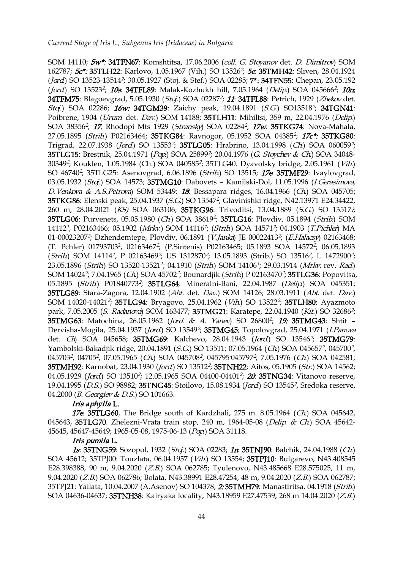SOM 14110; 5w\*: 34TFN67: Komshtitsa, 17.06.2006 (coll. G. Stoyanov det. D. Dimitrov) SOM 162787; 5c\*: 35TLH22: Karlovo, 1.05.1967 (Vih.) SO 13526<sup>2</sup>; 5e: 35TMH42: Sliven, 28.04.1924 (*Jord*.) SO 13523-13514<sup>2</sup>; 30.05.1927 (Stoj. & Stef.) SOA 02285; **7\*: 34TFN55**: Chepan, 23.05.192 (*Jord*.) SO 13523<sup>2</sup>; *10s*: **34TFL89**: Malak-Kozhukh hill, 7.05.1964 (*Delip*.) SOA 045666<sup>2</sup>; *10n*: **34TFM75**: Blagoevgrad, 5.05.1930 (*Stoj*.) SOA 02287<sup>2</sup>; 11: **34TFL88**: Petrich, 1929 (*Zhekov* det. Stoj.) SOA 02286; 16w: 34TGM39: Zaichy peak, 19.04.1891 (S.G.) SO13518<sup>2</sup>; 34TGN41: Poibrene, 1904 (Urum. det. Dav.) SOM 14188; 35TLH11: Mihiltsi, 359 m, 22.04.1976 (Delip.) SOA 38356<sup>2</sup>; *17.* Rhodopi Mts 1929 (*Stransky*) SOA 02284<sup>2</sup>; *17w*: **35TKG74**: Nova-Mahala, 27.05.1895 *(Strib*) P02163464; **35TKG84**: Ravnogor, 05.1952 SOA 04385<sup>2</sup>; 17c\*: **35TKG80**: Trigrad, 22.07.1938 (*Jord*) SO 13553<sup>2</sup>; **35TLG05**: Hrabrino, 13.04.1998 (*Ch*) SOA 060059<sup>2</sup>;  $\ddot{i}$ **35TLG15**: Brestnik, 25.04.1971 (*Pop*.) SO[A](https://orcid.org/0000-0002-1329-4891) 25899<sup>2</sup>; 20.04.1976 (*G. Stoych[ev](https://orcid.org/0000-0002-9968-9017) & Ch*.) SOA 34048-30349<sup>2</sup>; Kouklen, 1.05.1984 (Ch.) SOA 040585<sup>2</sup>; 35TLG40. Dyavolsky bridge, 2.05.1961 (*Vih*) SO 46740<sup>2</sup>; 35TLG25: Asenovgrad, 6.06.1896 (*Strib*) SO 13515; **17e 35TMF29**: Ivaylovgrad, 03.05.1932 (Stoj.) SOA 14573; 35TMG10: Dabovets - Kamilski-Dol, 11.05.1996 (I.Gerasimova, D. Venkova & A.S. Petrova) SOM 53449; 18: Bessapara ridges, 16.04.1966 (Ch.) SOA 045705; **35TKG86**: Elenski peak, 25.04.1937 (*S.G*.) SO 13547<sup>2</sup>; Glavinishki ridge, N42.13971 E24.34422, 260 m, 28.04.2021 (KS) SOA 063106; 35TKG96: Trivoditsi, 13.04.1889 (S.G.) SO 13517 $j$ ; **35TLG06**: Purvenets, 05.05.1980 *(Ch*) SOA 38619<sup>2</sup>; **35TLG16**: Plovdiv, 05.1894 *(Strib*) SOM 14112<sup>1</sup>, P02163466; 05.1902 (*Mrkv.*) SOM 14116<sup>1</sup>; (*Strib.*) SOA 14571<sup>2</sup>; 04.1903 (*T.Pichler*) MA 01-00023207<sup>2</sup>; Dzhendemtepe, Plovdiv, 06.1891 (*V.Janka*) JE 00022413<sup>2</sup>; (*E.Halacsy*) 02163468; (T. Pchler) 01793703<sup>2</sup>, 02163467<sup>2</sup>; (P.Sintenis) P02163465; 05.1893 SOA 14572<sup>2</sup>; 06.05.1893 (*Strib*) SOM 14114<sup>1</sup>, P 02163469<sup>2</sup>; US 1312870<sup>2</sup>; 13.05.1893 (Strib.) SO 13516<sup>2</sup>, L 1472900<sup>2</sup>;  $\frac{3}{7}$ 23.05.1896 (*Strib*) SO 13520-13521<sup>2</sup>; 04.1910 (*Strib*.) SOM 14106<sup>1</sup>; 29.03.1914 (*Mrkv.* rev. *Rad*) SOM 14024<sup>2</sup>; 7.04.1965 (*Ch*) SOA 45702<sup>2</sup>; Bounardjik (*Strib*) P 02163470<sup>2</sup>; **35TLG36**: Popovitsa*,* 05.1895 *(Strib.*) P01840773<sup>2</sup>; **35TLG64**: Mineralni-Bani, 22.04.1987 *(Delip.*) SOA 045351; 35TLG89: Stara-Zagora, 12.04.1902 (Aht. det. Dav.) SOM 14126; 28.03.1911 (Aht. det. Dav.) SOM 14020-14021<sup>2</sup>; **35TLG94**: Bryagovo, 25.04.1962 (*Vih*) SO 13522<sup>2</sup>; **35TLH80**: Ayazmoto park, 7.05.2005 *(S. Radanova*) SOM 163477; **35TMG21**: Karatepe, 22.04.1940 *(Kit.*) SO 32686<sup>2</sup>;  $\ddot{\hspace{1mm}}$ **35TMG63**: Matochina, 26.05.1962 (*Jord. & A. Yanev*) SO 26800<sup>2</sup>; 19: **35TMG43**: Shtit -Dervisha-Mogila, 25.04.1937 (*Jord*) SO 13549<sup>2</sup>; **35TMG45**; Topolovgrad, 25.04.1971 (*I.Panova* det. *Ch*) SOA 045658; **35TMG69**: Kalchevo, 28.04.1943 (*Jord*) SO 13546<sup>2</sup>; **35TMG79**: Yambolski-Bakadjik ridge, 20.04.1891 (*S.G*.) SO 13511; 07.05.1964 (*Ch*) SOA 045657<sup>2</sup>, 045700<sup>2</sup>,  $\frac{2}{\sqrt{2}}$ 045703<sup>2</sup>, 04705<sup>2</sup>, 07.05.1965 (*Ch*.) SOA 045708<sup>2</sup>, 045795<sup>-</sup>045797<sup>2</sup>; 7.05.1976 (*Ch*.) SOA 042581; **35TMH92**: Karnobat, 23.04.1930 (*Jord*) SO 13512?; **35TNH22**: Aitos, 05.1905 (*Str*.) SOA 14562; 04.05.1929 (*Jord*) SO 13510<sup>2</sup>; 12.05.1965 SOA 04400-04401<sup>2</sup>; **20. 35TNG34**: Vitanovo reserve, 19.04.1995 *(D.S.*) SO 98982; **35TNG45**: Stoilovo, 15.08.1934 *(Jord*) SO 13545<sup>2</sup>, Sredoka reserve, 04.2000 (*B. Georgiev & D.S.*) SO 101663.

#### Iris aphylla L.

17e. 35TLG60, The Bridge south of Kardzhali, 275 m. 8.05.1964 (Ch) SOA 045642, 045643, 35TLG70. Zhelezni-Vrata train stop, 240 m, 1964-05-08 (Delip. & Ch.) SOA 45642-45645, 45647-45649; 1965-05-08, 1975-06-13 (Pop.) SOA 31118.

## Iris pumila L.

1s: 35TNG59: Sozopol, 1932 (*Stoj.*) SOA 02283; 1 $\pi$  35TNJ90: Balchik, 24.04.1988 (Ch) SOA 45612; 35TPJ00: Touzlata, 06.04.1957 (Vih.) SO 13554; 35TPJ10: Bulgarevo, N43.408545 E28.398388, 90 m, 9.04.2020 (Z.B.) SOA 062785; Tyulenovo, N43.485668 E28.575025, 11 m, 9.04.2020 (Z.B.) SOA 062786; Bolata, N43.38991 E28.47254, 48 m, 9.04.2020 (Z.B.) SOA 062787; 35TPJ21: Yailata, 10.04.2007 (A.Asenov) SO 104378; 2: 35TMH79: Manastiritsa, 04.1918 (Strib.) SOA 04636-04637; 35TNH38: Kairyaka locality, N43.18959 E27.47539, 268 m 14.04.2020 (Z.B.)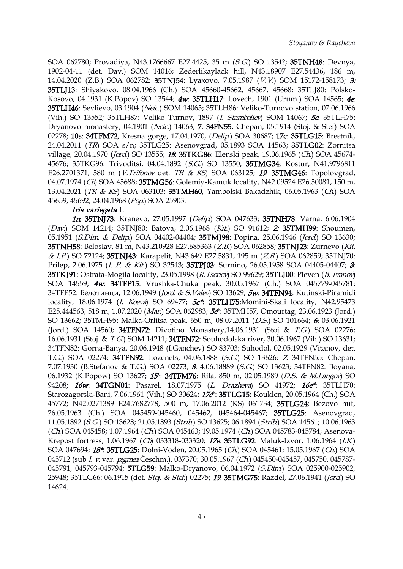SOA 062780; Provadiya, N43.1766667 E27.4425, 35 m (S.G.) SO 1354?; 35TNH48: Devnya, 1902-04-11 (det. Dav.) SOM 14016; Zederlikaylack hill, N43.18907 E27.54436, 186 m, 14.04.2020 (Z.B.) SOA 062782; 35TNJ54: Lyaхovo, 7.05.1987 (V.V.) SOM 15172-158173; 3: 35TLJ13: Shiyakovo, 08.04.1966 (Ch.) SOA 45660-45662, 45667, 45668; 35TLJ80: Polsko- Kosovo, 04.1931 (K.Popov) SO 13544; 4w: 35TLH17: Lovech, 1901 (Urum.) SOA 14565; 4e: 35TLH46: Sevlievo, 03.1904 (Neic.) SOM 14065; 35TLH86: Veliko-Turnovo station, 07.06.1966 (Vih.) SO 13552; 35TLH87: Veliko Turnov, 1897 (I. Stamboliev) SOM 14067; 5c: 35TLH75: Dryanovo monastery, 04.1901 (Neic.) 14063; 7. 34FN55, Chepan, 05.1914 (Stoj. & Stef) SOA 02278; 10s: 34TFM72, Kresna gorge, 17.04.1970, (Delip.) SOA 30687; 17c: 35TLG15: Brestnik, 24.04.2011 (TR) SOA s/n; 35TLG25: Asenovgrad, 05.1893 SOA 14563; 35TLG02: Zornitsa village, 20.04.1970 (Jord.) SO 13555; 18: 3[5T](https://orcid.org/0000-0002-1329-4891)KG86: Elenski peak, 19.06.1[965](https://orcid.org/0000-0002-9968-9017) (Ch.) SOA 45674-45676; 35TKG96: Trivoditsi, 04.04.1892 (S.G.) SO 13550; 35TMG34: Kostur, N41.9796811 E26.2701371, 580 m (*V.Trifonov* det. *TR & KS*) SOA 063125; **19. 35TMG46**: Topolovgrad, 04.07.1974 (Ch) SOA 45688; 35TMG56: Golemiy-Kamuk locality, N42.09524 E26.50081, 150 m, 13.04.2021 (TR & KS) SOA 063103; 35TMH60, Yambolski Bakadzhik, 06.05.1963 (Ch.) SOA 45659, 45692; 24.04.1968 (Pop.) SOA 25903.

#### Iris variegata L

1n: 35TNJ73: Kranevo, 27.05.1997 (Delip.) SOA 047633; 35TNH78: Varna, 6.06.1904 (Dav.) SOM 14214; 35TNJ80: Batova, 2.06.1968 (Kit.) SO 91612; 2: 35TMH99: Shoumen, 05.1951 (S.Dim. & Delip.) SOA 04402-04404; 35TMJ98: Popina, 25.06.1946 (Jord.) SO 13630; 35TNH58: Beloslav, 81 m, N43.210928 E27.685363 (Z.B.) SOA 062858; 35TNJ23: Zurnevo (Kit. & I.P.) SO 72124; 35TNJ43: Karapelit, N43.649 E27.5831, 195 m (Z.B.) SOA 062859; 35TNJ70: Prilep, 2.06.1975 (I. P. & Kit.) SO 32543; 35TPJ03: Surnino, 26.05.1958 SOA 04405-04407; 3: 35TKJ91: Ostrata-Mogila locality, 23.05.1998 (R. Tsonev) SO 99629; 35TLJ00: Pleven (B. Ivanov) SOA 14559; 4w: 34TFP15: Vrushka-Chuka peak, 30.05.1967 (Ch.) SOA 045779-045781; 34TFP52: Белотинци, 12.06.1949 (Jord. & S.Valev) SO 13629; 5w: 34TFN94: Kutinski-Piramidi locality, 18.06.1974 (*J. Koeva*) SO 69477; 5c\*: 35TLH75:Momini-Skali locality, N42.95473 E25.444563, 518 m, 1.07.2020 (Mar.) SOA 062983; 5e\*: 35TMH57, Omourtag, 23.06.1923 (Jord.) SO 13662; 35TMH95: Malka-Orlitsa peak, 650 m, 08.07.2011 (D.S.) SO 101664; 6: 03.06.1921 (Jord.) SOA 14560; 34TFN72: Divotino Monastery,14.06.1931 (Stoj & T.G.) SOA 02276; 16.06.1931 (Stoj. & T.G.) SOM 14211; 34TFN72: Souhodolska river, 30.06.1967 (Vih.) SO 13631; 34TFN82: Gorna-Banya, 20.06.1948 (I.Ganchev) SO 83703; Suhodol, 02.05.1929 (Vitanov, det. T.G.) SOA 02274; 34TFN92: Lozenets, 04.06.1888 (S.G.) SO 13626; 7: 34TFN55: Chepan, 7.07.1930 (B.Stefanov & T.G.) SOA 02273; 8: 4.06.18889 (S.G.) SO 13623; 34TFN82: Boyana, 06.1932 (K.Popow) SO 13627; 15: 34TFM76: Rila, 850 m, 02.05.1989 (D.S. & M.Langov) SO 94208; 16w: 34TGN01: Pasarel, 18.07.1975 (L. Drazheva) SO 41972; 16e\*: 35TLH70: Starozagorski-Bani, 7.06.1961 (Vih.) SO 30624; 17c\*: 35TLG15: Kouklen, 20.05.1964 (Ch.) SOA 45772; N42.0271389 E24.7682778, 500 m, 17.06.2012 (KS) 061734; 35TLG24: Bezovo hut, 26.05.1963 (Ch.) SOA 045459-045460, 045462, 045464-045467; 35TLG25: Asenovgrad, 11.05.1892 (S.G.) SO 13628; 21.05.1893 (Strib.) SO 13625; 06.1894 (Strib.)SOA 14561; 10.06.1963 (Ch.) SOA 045458; 1.07.1964 (Ch.) SOA 045463; 19.05.1974 (Ch.) SOA 045783-045784; Asenova-Krepost fortress, 1.06.1967 (Ch) 033318-033320; 17e: 35TLG92: Maluk-Izvor, 1.06.1964 (I.K.) SOA 047694; 18<sup>\*</sup>: 35TLG25: Dolni-Voden, 20.05.1965 (Ch.) SOA 045461; 15.05.1967 (Ch.) SOA 045712 (sub *I. v. var. pigmea* Česchm.), 037370; 30.05.1967 (Ch.) 045450-045457, 045750, 045787-045791, 045793-045794; 5TLG59: Malko-Dryanovo, 06.04.1972 (S.Dim.) SOA 025900-025902, 25948; 35TLG66: 06.1915 (det. *Stoj. & Stef.*) 02275; 19: 35TMG75: Razdel, 27.06.1941 (Jord.) SO 14624.